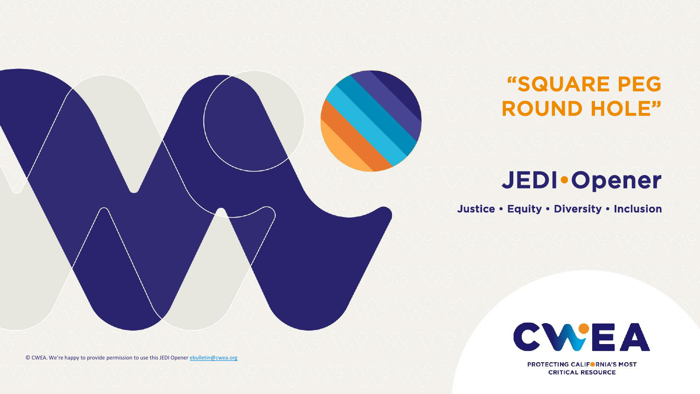

## "SQUARE PEG ROUND HOLE"

# JEDI•Opener

Justice • Equity • Diversity • Inclusion



**PROTECTING CALIFORNIA'S MOST CRITICAL RESOURCE** 

© CWEA. We're happy to provide permission to use this JEDI Opener [ebulletin@cwea.org](mailto:ebulletin@cwea.org)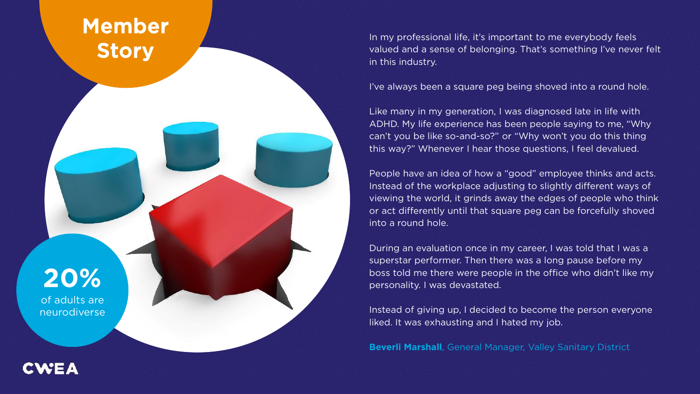### Member **Story**

In my professional life, it's important to me everybody feels valued and a sense of belonging. That's something I've never felt in this industry.

I've always been a square peg being shoved into a round hole.

Like many in my generation, I was diagnosed late in life with ADHD. My life experience has been people saying to me, "Why can't you be like so-and-so?" or "Why won't you do this thing this way?" Whenever I hear those questions, I feel devalued.

People have an idea of how a "good" employee thinks and acts. Instead of the workplace adjusting to slightly different ways of viewing the world, it grinds away the edges of people who think or act differently until that square peg can be forcefully shoved into a round hole.

During an evaluation once in my career, I was told that I was a superstar performer. Then there was a long pause before my boss told me there were people in the office who didn't like my personality. I was devastated.

Instead of giving up, I decided to become the person everyone liked. It was exhausting and I hated my job.

**Beverli Marshall**, General Manager, Valley Sanitary District

**20%** of adults are neurodiverse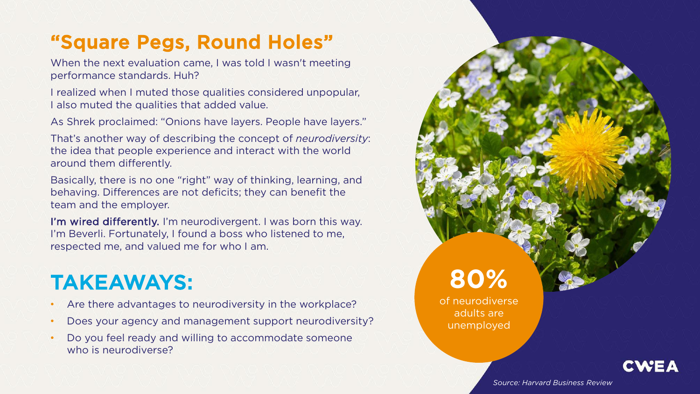### "Square Pegs, Round Holes"

When the next evaluation came, I was told I wasn't meeting performance standards. Huh?

I realized when I muted those qualities considered unpopular, I also muted the qualities that added value.

As Shrek proclaimed: "Onions have layers. People have layers."

That's another way of describing the concept of *neurodiversity*: the idea that people experience and interact with the world around them differently.

Basically, there is no one "right" way of thinking, learning, and behaving. Differences are not deficits; they can benefit the team and the employer.

I'm wired differently. I'm neurodivergent. I was born this way. I'm Beverli. Fortunately, I found a boss who listened to me, respected me, and valued me for who I am.

# TAKEAWAYS:

- Are there advantages to neurodiversity in the workplace?
- Does your agency and management support neurodiversity?
- Do you feel ready and willing to accommodate someone who is neurodiverse?

**80%** of neurodiverse

adults are unemployed